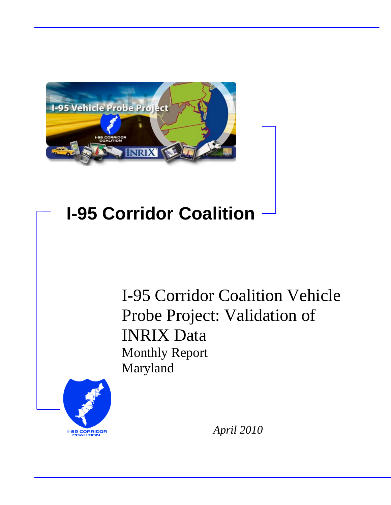

## **I-95 Corridor Coalition**

I-95 Corridor Coalition Vehicle Probe Project: Validation of INRIX Data Monthly Report Maryland



*April 2010*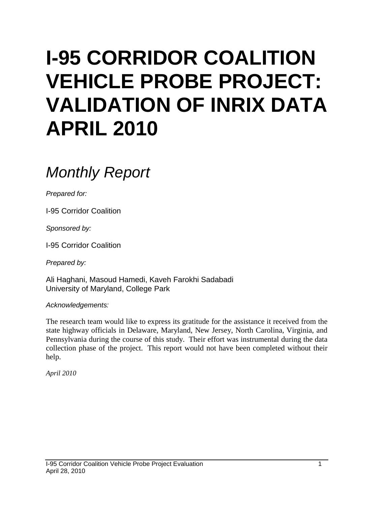# **I-95 CORRIDOR COALITION VEHICLE PROBE PROJECT: VALIDATION OF INRIX DATA APRIL 2010**

## *Monthly Report*

*Prepared for:*

I-95 Corridor Coalition

*Sponsored by:*

I-95 Corridor Coalition

*Prepared by:*

Ali Haghani, Masoud Hamedi, Kaveh Farokhi Sadabadi University of Maryland, College Park

*Acknowledgements:*

The research team would like to express its gratitude for the assistance it received from the state highway officials in Delaware, Maryland, New Jersey, North Carolina, Virginia, and Pennsylvania during the course of this study. Their effort was instrumental during the data collection phase of the project. This report would not have been completed without their help.

*April 2010*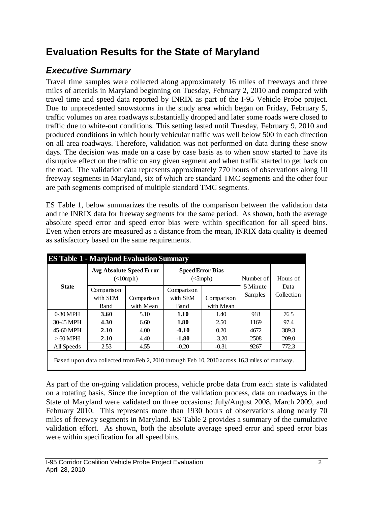## **Evaluation Results for the State of Maryland**

## *Executive Summary*

Travel time samples were collected along approximately 16 miles of freeways and three miles of arterials in Maryland beginning on Tuesday, February 2, 2010 and compared with travel time and speed data reported by INRIX as part of the I-95 Vehicle Probe project. Due to unprecedented snowstorms in the study area which began on Friday, February 5, traffic volumes on area roadways substantially dropped and later some roads were closed to traffic due to white-out conditions. This setting lasted until Tuesday, February 9, 2010 and produced conditions in which hourly vehicular traffic was well below 500 in each direction on all area roadways. Therefore, validation was not performed on data during these snow days. The decision was made on a case by case basis as to when snow started to have its disruptive effect on the traffic on any given segment and when traffic started to get back on the road. The validation data represents approximately 770 hours of observations along 10 freeway segments in Maryland, six of which are standard TMC segments and the other four are path segments comprised of multiple standard TMC segments.

ES Table 1, below summarizes the results of the comparison between the validation data and the INRIX data for freeway segments for the same period. As shown, both the average absolute speed error and speed error bias were within specification for all speed bins. Even when errors are measured as a distance from the mean, INRIX data quality is deemed as satisfactory based on the same requirements.

|                                                                                               |            | Avg Absolute Speed Error<br>$(\langle 10 \text{ mph})$ | <b>Speed Error Bias</b><br>$(<5$ mph $)$ |            | Number of | Hours of           |  |  |
|-----------------------------------------------------------------------------------------------|------------|--------------------------------------------------------|------------------------------------------|------------|-----------|--------------------|--|--|
| <b>State</b>                                                                                  | Comparison |                                                        | Comparison                               |            | 5 Minute  | Data<br>Collection |  |  |
|                                                                                               | with SEM   | Comparison                                             | with SEM                                 | Comparison | Samples   |                    |  |  |
|                                                                                               | Band       | with Mean                                              | Band                                     | with Mean  |           |                    |  |  |
| $0-30$ MPH                                                                                    | 3.60       | 5.10                                                   | 1.10                                     | 1.40       | 918       | 76.5               |  |  |
| 30-45 MPH                                                                                     | 4.30       | 6.60                                                   | 1.80                                     | 2.50       | 1169      | 97.4               |  |  |
| 45-60 MPH                                                                                     | 2.10       | 4.00                                                   | $-0.10$                                  | 0.20       | 4672      | 389.3              |  |  |
| $>60$ MPH                                                                                     | 2.10       | 4.40                                                   | $-1.80$                                  | $-3.20$    | 2508      | 209.0              |  |  |
| All Speeds                                                                                    | 2.53       | 4.55                                                   | $-0.20$                                  | $-0.31$    | 9267      | 772.3              |  |  |
| Based upon data collected from Feb 2, 2010 through Feb 10, 2010 across 16.3 miles of roadway. |            |                                                        |                                          |            |           |                    |  |  |

As part of the on-going validation process, vehicle probe data from each state is validated on a rotating basis. Since the inception of the validation process, data on roadways in the State of Maryland were validated on three occasions: July/August 2008, March 2009, and February 2010. This represents more than 1930 hours of observations along nearly 70 miles of freeway segments in Maryland. ES Table 2 provides a summary of the cumulative validation effort. As shown, both the absolute average speed error and speed error bias were within specification for all speed bins.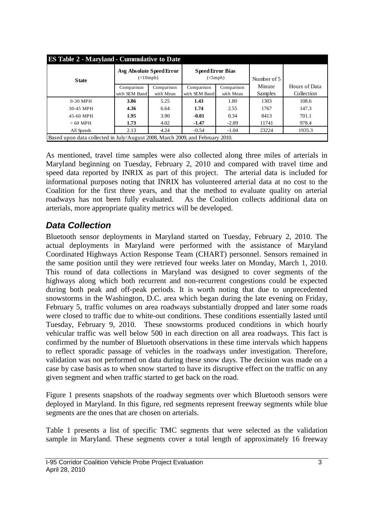| <b>ES Table 2 - Maryland - Cummulative to Date</b>                  |                                                                               |            |                                     |           |             |               |  |  |  |  |
|---------------------------------------------------------------------|-------------------------------------------------------------------------------|------------|-------------------------------------|-----------|-------------|---------------|--|--|--|--|
| <b>State</b>                                                        | Avg Absolute Speed Error<br>(<10mb)                                           |            | <b>Speed Error Bias</b><br>(<5 mph) |           | Number of 5 |               |  |  |  |  |
|                                                                     | Comparison                                                                    | Comparison | Comparison<br>Comparison            |           | Minute      | Hours of Data |  |  |  |  |
|                                                                     | with SEM Band                                                                 | with Mean  | with SEM Band                       | with Mean | Samples     | Collection    |  |  |  |  |
| $0-30$ MPH                                                          | 3.86                                                                          | 5.25       | 1.43                                | 1.80      | 1303        | 108.6         |  |  |  |  |
| 30-45 MPH                                                           | 4.36                                                                          | 6.64       | 1.74                                | 2.55      | 1767        | 147.3         |  |  |  |  |
| 45-60 MPH                                                           | 1.95                                                                          | 3.90       | $-0.01$                             | 0.34      | 8413        | 701.1         |  |  |  |  |
| $>60$ MPH                                                           | 1.73                                                                          | 4.02       | $-1.47$                             | $-2.89$   | 11741       | 978.4         |  |  |  |  |
| 2.13<br>4.24<br>$-0.54$<br>$-1.04$<br>23224<br>1935.3<br>All Speeds |                                                                               |            |                                     |           |             |               |  |  |  |  |
|                                                                     | Based upon data collected in July/August 2008, March 2009, and February 2010. |            |                                     |           |             |               |  |  |  |  |

As mentioned, travel time samples were also collected along three miles of arterials in Maryland beginning on Tuesday, February 2, 2010 and compared with travel time and speed data reported by INRIX as part of this project. The arterial data is included for informational purposes noting that INRIX has volunteered arterial data at no cost to the Coalition for the first three years, and that the method to evaluate quality on arterial roadways has not been fully evaluated. As the Coalition collects additional data on arterials, more appropriate quality metrics will be developed.

### *Data Collection*

Bluetooth sensor deployments in Maryland started on Tuesday, February 2, 2010. The actual deployments in Maryland were performed with the assistance of Maryland Coordinated Highways Action Response Team (CHART) personnel. Sensors remained in the same position until they were retrieved four weeks later on Monday, March 1, 2010. This round of data collections in Maryland was designed to cover segments of the highways along which both recurrent and non-recurrent congestions could be expected during both peak and off-peak periods. It is worth noting that due to unprecedented snowstorms in the Washington, D.C. area which began during the late evening on Friday, February 5, traffic volumes on area roadways substantially dropped and later some roads were closed to traffic due to white-out conditions. These conditions essentially lasted until Tuesday, February 9, 2010. These snowstorms produced conditions in which hourly vehicular traffic was well below 500 in each direction on all area roadways. This fact is confirmed by the number of Bluetooth observations in these time intervals which happens to reflect sporadic passage of vehicles in the roadways under investigation. Therefore, validation was not performed on data during these snow days. The decision was made on a case by case basis as to when snow started to have its disruptive effect on the traffic on any given segment and when traffic started to get back on the road.

Figure 1 presents snapshots of the roadway segments over which Bluetooth sensors were deployed in Maryland. In this figure, red segments represent freeway segments while blue segments are the ones that are chosen on arterials.

Table 1 presents a list of specific TMC segments that were selected as the validation sample in Maryland. These segments cover a total length of approximately 16 freeway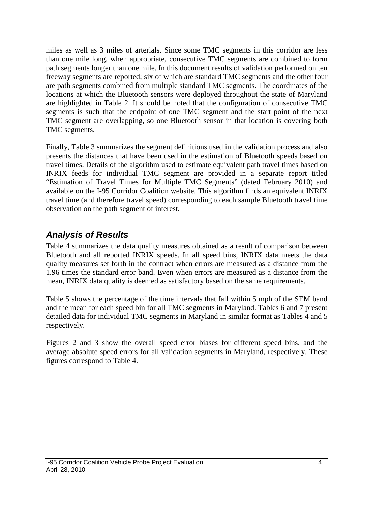miles as well as 3 miles of arterials. Since some TMC segments in this corridor are less than one mile long, when appropriate, consecutive TMC segments are combined to form path segments longer than one mile. In this document results of validation performed on ten freeway segments are reported; six of which are standard TMC segments and the other four are path segments combined from multiple standard TMC segments. The coordinates of the locations at which the Bluetooth sensors were deployed throughout the state of Maryland are highlighted in Table 2. It should be noted that the configuration of consecutive TMC segments is such that the endpoint of one TMC segment and the start point of the next TMC segment are overlapping, so one Bluetooth sensor in that location is covering both TMC segments.

Finally, Table 3 summarizes the segment definitions used in the validation process and also presents the distances that have been used in the estimation of Bluetooth speeds based on travel times. Details of the algorithm used to estimate equivalent path travel times based on INRIX feeds for individual TMC segment are provided in a separate report titled "Estimation of Travel Times for Multiple TMC Segments" (dated February 2010) and available on the I-95 Corridor Coalition website. This algorithm finds an equivalent INRIX travel time (and therefore travel speed) corresponding to each sample Bluetooth travel time observation on the path segment of interest.

## *Analysis of Results*

Table 4 summarizes the data quality measures obtained as a result of comparison between Bluetooth and all reported INRIX speeds. In all speed bins, INRIX data meets the data quality measures set forth in the contract when errors are measured as a distance from the 1.96 times the standard error band. Even when errors are measured as a distance from the mean, INRIX data quality is deemed as satisfactory based on the same requirements.

Table 5 shows the percentage of the time intervals that fall within 5 mph of the SEM band and the mean for each speed bin for all TMC segments in Maryland. Tables 6 and 7 present detailed data for individual TMC segments in Maryland in similar format as Tables 4 and 5 respectively.

Figures 2 and 3 show the overall speed error biases for different speed bins, and the average absolute speed errors for all validation segments in Maryland, respectively. These figures correspond to Table 4.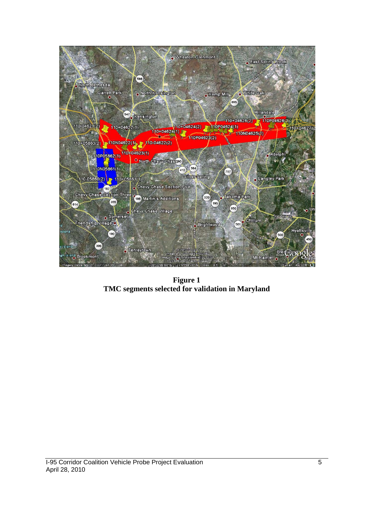

**Figure 1 TMC segments selected for validation in Maryland**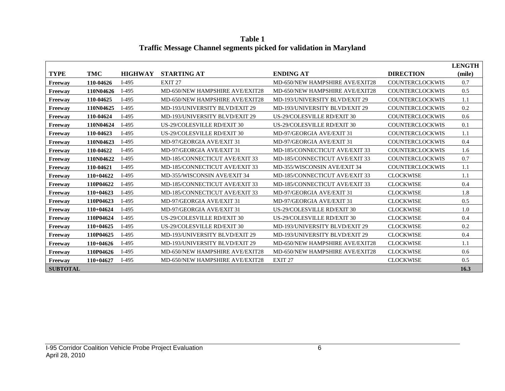**Table 1 Traffic Message Channel segments picked for validation in Maryland**

|                 |             |                |                                       |                                 |                        | <b>LENGTH</b> |
|-----------------|-------------|----------------|---------------------------------------|---------------------------------|------------------------|---------------|
| <b>TYPE</b>     | TMC         | <b>HIGHWAY</b> | <b>STARTING AT</b>                    | <b>ENDING AT</b>                | <b>DIRECTION</b>       | (mile)        |
| Freeway         | 110-04626   | $I-495$        | EXIT <sub>27</sub>                    | MD-650/NEW HAMPSHIRE AVE/EXIT28 | <b>COUNTERCLOCKWIS</b> | 0.7           |
| Freeway         | 110N04626   | $I-495$        | MD-650/NEW HAMPSHIRE AVE/EXIT28       | MD-650/NEW HAMPSHIRE AVE/EXIT28 | <b>COUNTERCLOCKWIS</b> | 0.5           |
| Freeway         | 110-04625   | $I-495$        | MD-650/NEW HAMPSHIRE AVE/EXIT28       | MD-193/UNIVERSITY BLVD/EXIT 29  | <b>COUNTERCLOCKWIS</b> | 1.1           |
| Freeway         | 110N04625   | $I-495$        | MD-193/UNIVERSITY BLVD/EXIT 29        | MD-193/UNIVERSITY BLVD/EXIT 29  | <b>COUNTERCLOCKWIS</b> | 0.2           |
| Freeway         | 110-04624   | $I-495$        | <b>MD-193/UNIVERSITY BLVD/EXIT 29</b> | US-29/COLESVILLE RD/EXIT 30     | <b>COUNTERCLOCKWIS</b> | 0.6           |
| Freeway         | 110N04624   | $I-495$        | US-29/COLESVILLE RD/EXIT 30           | US-29/COLESVILLE RD/EXIT 30     | <b>COUNTERCLOCKWIS</b> | 0.1           |
| Freeway         | 110-04623   | $I-495$        | US-29/COLESVILLE RD/EXIT 30           | MD-97/GEORGIA AVE/EXIT 31       | <b>COUNTERCLOCKWIS</b> | 1.1           |
| Freeway         | 110N04623   | $I-495$        | MD-97/GEORGIA AVE/EXIT 31             | MD-97/GEORGIA AVE/EXIT 31       | <b>COUNTERCLOCKWIS</b> | 0.4           |
| Freeway         | 110-04622   | $I-495$        | MD-97/GEORGIA AVE/EXIT 31             | MD-185/CONNECTICUT AVE/EXIT 33  | <b>COUNTERCLOCKWIS</b> | 1.6           |
| Freeway         | 110N04622   | $I-495$        | MD-185/CONNECTICUT AVE/EXIT 33        | MD-185/CONNECTICUT AVE/EXIT 33  | <b>COUNTERCLOCKWIS</b> | 0.7           |
| Freeway         | 110-04621   | $I-495$        | MD-185/CONNECTICUT AVE/EXIT 33        | MD-355/WISCONSIN AVE/EXIT 34    | <b>COUNTERCLOCKWIS</b> | 1.1           |
| Freeway         | $110+04622$ | $I-495$        | MD-355/WISCONSIN AVE/EXIT 34          | MD-185/CONNECTICUT AVE/EXIT 33  | <b>CLOCKWISE</b>       | 1.1           |
| Freeway         | 110P04622   | $I-495$        | MD-185/CONNECTICUT AVE/EXIT 33        | MD-185/CONNECTICUT AVE/EXIT 33  | <b>CLOCKWISE</b>       | 0.4           |
| Freeway         | $110+04623$ | $I-495$        | MD-185/CONNECTICUT AVE/EXIT 33        | MD-97/GEORGIA AVE/EXIT 31       | <b>CLOCKWISE</b>       | 1.8           |
| Freeway         | 110P04623   | $I-495$        | MD-97/GEORGIA AVE/EXIT 31             | MD-97/GEORGIA AVE/EXIT 31       | <b>CLOCKWISE</b>       | 0.5           |
| Freeway         | $110+04624$ | $I-495$        | MD-97/GEORGIA AVE/EXIT 31             | US-29/COLESVILLE RD/EXIT 30     | <b>CLOCKWISE</b>       | 1.0           |
| Freeway         | 110P04624   | $I-495$        | US-29/COLESVILLE RD/EXIT 30           | US-29/COLESVILLE RD/EXIT 30     | <b>CLOCKWISE</b>       | 0.4           |
| Freeway         | $110+04625$ | $I-495$        | US-29/COLESVILLE RD/EXIT 30           | MD-193/UNIVERSITY BLVD/EXIT 29  | <b>CLOCKWISE</b>       | 0.2           |
| Freeway         | 110P04625   | $I-495$        | <b>MD-193/UNIVERSITY BLVD/EXIT 29</b> | MD-193/UNIVERSITY BLVD/EXIT 29  | <b>CLOCKWISE</b>       | 0.4           |
| Freeway         | $110+04626$ | $I-495$        | <b>MD-193/UNIVERSITY BLVD/EXIT 29</b> | MD-650/NEW HAMPSHIRE AVE/EXIT28 | <b>CLOCKWISE</b>       | 1.1           |
| Freeway         | 110P04626   | $I-495$        | MD-650/NEW HAMPSHIRE AVE/EXIT28       | MD-650/NEW HAMPSHIRE AVE/EXIT28 | <b>CLOCKWISE</b>       | 0.6           |
| Freeway         | 110+04627   | $I-495$        | MD-650/NEW HAMPSHIRE AVE/EXIT28       | EXIT <sub>27</sub>              | <b>CLOCKWISE</b>       | 0.5           |
| <b>SUBTOTAL</b> |             |                |                                       |                                 |                        | 16.3          |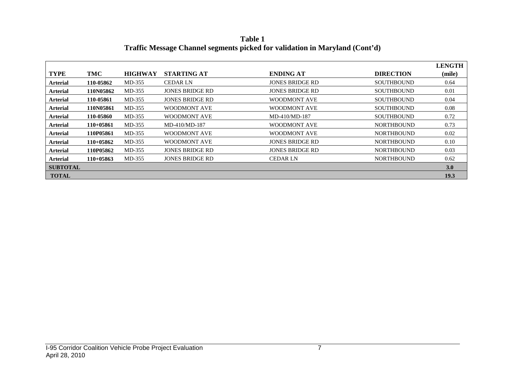**Table 1 Traffic Message Channel segments picked for validation in Maryland (Cont'd)**

|                 |             |                |                        |                        |                   | <b>LENGTH</b> |
|-----------------|-------------|----------------|------------------------|------------------------|-------------------|---------------|
| <b>TYPE</b>     | TMC         | <b>HIGHWAY</b> | <b>STARTING AT</b>     | <b>ENDING AT</b>       | <b>DIRECTION</b>  | (mile)        |
| Arterial        | 110-05862   | MD-355         | <b>CEDAR LN</b>        | <b>JONES BRIDGE RD</b> | <b>SOUTHBOUND</b> | 0.64          |
| <b>Arterial</b> | 110N05862   | MD-355         | JONES BRIDGE RD        | JONES BRIDGE RD        | <b>SOUTHBOUND</b> | 0.01          |
| <b>Arterial</b> | 110-05861   | MD-355         | JONES BRIDGE RD        | WOODMONT AVE           | <b>SOUTHBOUND</b> | 0.04          |
| <b>Arterial</b> | 110N05861   | MD-355         | WOODMONT AVE           | WOODMONT AVE           | <b>SOUTHBOUND</b> | 0.08          |
| <b>Arterial</b> | 110-05860   | MD-355         | WOODMONT AVE           | $MD-410/MD-187$        | <b>SOUTHBOUND</b> | 0.72          |
| <b>Arterial</b> | $110+05861$ | MD-355         | $MD-410/MD-187$        | WOODMONT AVE           | <b>NORTHBOUND</b> | 0.73          |
| <b>Arterial</b> | 110P05861   | MD-355         | WOODMONT AVE           | WOODMONT AVE           | <b>NORTHBOUND</b> | 0.02          |
| <b>Arterial</b> | 110+05862   | MD-355         | WOODMONT AVE           | JONES BRIDGE RD        | <b>NORTHBOUND</b> | 0.10          |
| <b>Arterial</b> | 110P05862   | MD-355         | <b>JONES BRIDGE RD</b> | <b>JONES BRIDGE RD</b> | <b>NORTHBOUND</b> | 0.03          |
| <b>Arterial</b> | $110+05863$ | MD-355         | <b>JONES BRIDGE RD</b> | <b>CEDAR LN</b>        | <b>NORTHBOUND</b> | 0.62          |
| <b>SUBTOTAL</b> |             |                |                        |                        |                   | 3.0           |
| <b>TOTAL</b>    |             |                |                        |                        |                   | 19.3          |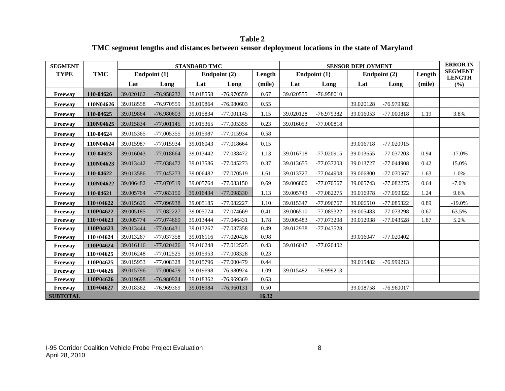**Table 2 TMC segment lengths and distances between sensor deployment locations in the state of Maryland**

| <b>SEGMENT</b>  |             |           |              | <b>STANDARD TMC</b> |              |        |           |                | <b>SENSOR DEPLOYMENT</b> |              |        | <b>ERROR IN</b>                 |
|-----------------|-------------|-----------|--------------|---------------------|--------------|--------|-----------|----------------|--------------------------|--------------|--------|---------------------------------|
| <b>TYPE</b>     | <b>TMC</b>  |           | Endpoint (1) |                     | Endpoint (2) | Length |           | Endpoint $(1)$ |                          | Endpoint (2) | Length | <b>SEGMENT</b><br><b>LENGTH</b> |
|                 |             | Lat       | Long         | Lat                 | Long         | (mile) | Lat       | Long           | Lat                      | Long         | (mile) | (%)                             |
| Freeway         | 110-04626   | 39.020162 | -76.958232   | 39.018558           | -76.970559   | 0.67   | 39.020555 | -76.958010     |                          |              |        |                                 |
| Freeway         | 110N04626   | 39.018558 | -76.970559   | 39.019864           | -76.980603   | 0.55   |           |                | 39.020128                | -76.979382   |        |                                 |
| Freeway         | 110-04625   | 39.019864 | -76.980603   | 39.015834           | $-77.001145$ | 1.15   | 39.020128 | -76.979382     | 39.016053                | $-77.000818$ | 1.19   | 3.8%                            |
| Freeway         | 110N04625   | 39.015834 | $-77.001145$ | 39.015365           | $-77.005355$ | 0.23   | 39.016053 | $-77.000818$   |                          |              |        |                                 |
| Freeway         | 110-04624   | 39.015365 | -77.005355   | 39.015987           | -77.015934   | 0.58   |           |                |                          |              |        |                                 |
| Freeway         | 110N04624   | 39.015987 | -77.015934   | 39.016043           | -77.018664   | 0.15   |           |                | 39.016718                | -77.020915   |        |                                 |
| Freeway         | 110-04623   | 39.016043 | -77.018664   | 39.013442           | -77.038472   | 1.13   | 39.016718 | -77.020915     | 39.013655                | -77.037203   | 0.94   | $-17.0\%$                       |
| Freeway         | 110N04623   | 39.013442 | -77.038472   | 39.013586           | -77.045273   | 0.37   | 39.013655 | -77.037203     | 39.013727                | -77.044908   | 0.42   | 15.0%                           |
| Freeway         | 110-04622   | 39.013586 | $-77.045273$ | 39.006482           | -77.070519   | 1.61   | 39.013727 | -77.044908     | 39.006800                | -77.070567   | 1.63   | 1.0%                            |
| Freeway         | 110N04622   | 39.006482 | -77.070519   | 39.005764           | -77.083150   | 0.69   | 39.006800 | -77.070567     | 39.005743                | -77.082275   | 0.64   | $-7.0%$                         |
| Freeway         | 110-04621   | 39.005764 | $-77.083150$ | 39.016434           | -77.098330   | 1.13   | 39.005743 | $-77.082275$   | 39.016978                | -77.099322   | 1.24   | 9.6%                            |
| Freeway         | $110+04622$ | 39.015629 | -77.096938   | 39.005185           | $-77.082227$ | 1.10   | 39.015347 | -77.096767     | 39.006510                | -77.085322   | 0.89   | $-19.0%$                        |
| Freeway         | 110P04622   | 39.005185 | $-77.082227$ | 39.005774           | -77.074669   | 0.41   | 39.006510 | -77.085322     | 39.005483                | -77.073298   | 0.67   | 63.5%                           |
| Freeway         | $110+04623$ | 39.005774 | -77.074669   | 39.013444           | $-77.046431$ | 1.78   | 39.005483 | -77.073298     | 39.012938                | -77.043528   | 1.87   | 5.2%                            |
| Freeway         | 110P04623   | 39.013444 | $-77.046431$ | 39.013267           | -77.037358   | 0.49   | 39.012938 | -77.043528     |                          |              |        |                                 |
| Freeway         | 110+04624   | 39.013267 | -77.037358   | 39.016116           | $-77.020426$ | 0.98   |           |                | 39.016047                | -77.020402   |        |                                 |
| Freeway         | 110P04624   | 39.016116 | $-77.020426$ | 39.016248           | $-77.012525$ | 0.43   | 39.016047 | $-77.020402$   |                          |              |        |                                 |
| Freeway         | $110+04625$ | 39.016248 | $-77.012525$ | 39.015953           | -77.008328   | 0.23   |           |                |                          |              |        |                                 |
| Freeway         | 110P04625   | 39.015953 | -77.008328   | 39.015796           | -77.000479   | 0.44   |           |                | 39.015482                | $-76.999213$ |        |                                 |
| Freeway         | 110+04626   | 39.015796 | -77.000479   | 39.019698           | -76.980924   | 1.09   | 39.015482 | $-76.999213$   |                          |              |        |                                 |
| Freeway         | 110P04626   | 39.019698 | -76.980924   | 39.018362           | -76.969369   | 0.63   |           |                |                          |              |        |                                 |
| Freeway         | 110+04627   | 39.018362 | -76.969369   | 39.018984           | $-76.960131$ | 0.50   |           |                | 39.018758                | -76.960017   |        |                                 |
| <b>SUBTOTAL</b> |             |           |              |                     |              | 16.32  |           |                |                          |              |        |                                 |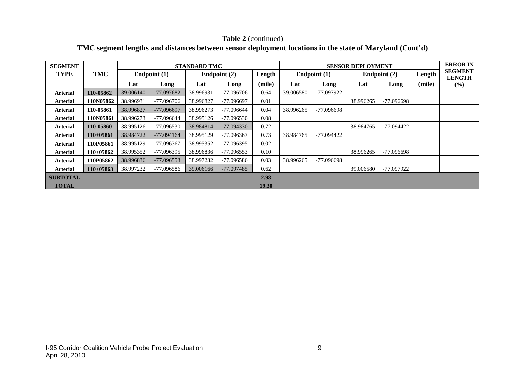### **Table 2** (continued) **TMC segment lengths and distances between sensor deployment locations in the state of Maryland (Cont'd)**

| <b>SEGMENT</b>  |             |           |                | <b>STANDARD TMC</b> |              |        |           |                | <b>SENSOR DEPLOYMENT</b> |              |        | <b>ERROR IN</b>                 |
|-----------------|-------------|-----------|----------------|---------------------|--------------|--------|-----------|----------------|--------------------------|--------------|--------|---------------------------------|
| <b>TYPE</b>     | TMC         |           | Endpoint $(1)$ |                     | Endpoint (2) | Length |           | Endpoint $(1)$ |                          | Endpoint (2) | Length | <b>SEGMENT</b><br><b>LENGTH</b> |
|                 |             | Lat       | Long           | Lat                 | Long         | (mile) | Lat       | Long           | Lat                      | Long         | (mile) | $(\%)$                          |
| Arterial        | 110-05862   | 39.006140 | -77.097682     | 38.996931           | -77.096706   | 0.64   | 39.006580 | -77.097922     |                          |              |        |                                 |
| Arterial        | 110N05862   | 38.996931 | -77.096706     | 38.996827           | -77.096697   | 0.01   |           |                | 38.996265                | -77.096698   |        |                                 |
| <b>Arterial</b> | 110-05861   | 38.996827 | -77.096697     | 38.996273           | -77.096644   | 0.04   | 38.996265 | -77.096698     |                          |              |        |                                 |
| Arterial        | 110N05861   | 38.996273 | -77.096644     | 38.995126           | $-77.096530$ | 0.08   |           |                |                          |              |        |                                 |
| <b>Arterial</b> | 110-05860   | 38.995126 | -77.096530     | 38.984814           | -77.094330   | 0.72   |           |                | 38.984765                | -77.094422   |        |                                 |
| <b>Arterial</b> | $110+05861$ | 38.984722 | $-77.094164$   | 38.995129           | -77.096367   | 0.73   | 38.984765 | -77.094422     |                          |              |        |                                 |
| <b>Arterial</b> | 110P05861   | 38.995129 | -77.096367     | 38.995352           | -77.096395   | 0.02   |           |                |                          |              |        |                                 |
| <b>Arterial</b> | $110+05862$ | 38.995352 | -77.096395     | 38.996836           | -77.096553   | 0.10   |           |                | 38.996265                | -77.096698   |        |                                 |
| Arterial        | 110P05862   | 38.996836 | $-77.096553$   | 38.997232           | -77.096586   | 0.03   | 38.996265 | -77.096698     |                          |              |        |                                 |
| <b>Arterial</b> | $110+05863$ | 38.997232 | -77.096586     | 39.006166           | $-77.097485$ | 0.62   |           |                | 39.006580                | -77.097922   |        |                                 |
| <b>SUBTOTAL</b> |             |           |                |                     |              | 2.98   |           |                |                          |              |        |                                 |
| <b>TOTAL</b>    |             |           |                |                     |              | 19.30  |           |                |                          |              |        |                                 |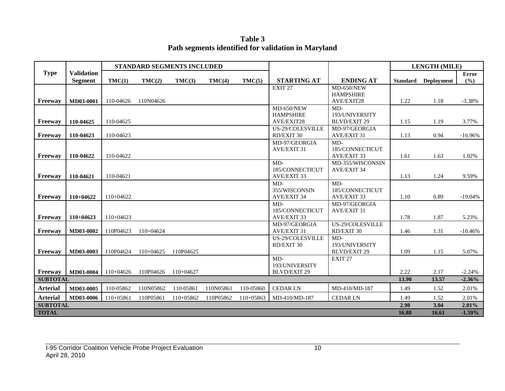**Table 3 Path segments identified for validation in Maryland**

|                 |                   |             | <b>STANDARD SEGMENTS INCLUDED</b> |             |           |           |                     |                                |                 | <b>LENGTH (MILE)</b> |              |
|-----------------|-------------------|-------------|-----------------------------------|-------------|-----------|-----------|---------------------|--------------------------------|-----------------|----------------------|--------------|
| <b>Type</b>     | <b>Validation</b> |             |                                   |             |           |           | <b>STARTING AT</b>  | <b>ENDING AT</b>               |                 |                      | <b>Error</b> |
|                 | <b>Segment</b>    | TMC(1)      | TMC(2)                            | TMC(3)      | TMC(4)    | TMC(5)    |                     |                                | <b>Standard</b> | <b>Deployment</b>    | (%)          |
|                 |                   |             |                                   |             |           |           | EXIT <sub>27</sub>  | MD-650/NEW<br><b>HAMPSHIRE</b> |                 |                      |              |
| Freeway         | MD03-0001         | 110-04626   | 110N04626                         |             |           |           |                     | AVE/EXIT28                     | 1.22            | 1.18                 | $-3.38%$     |
|                 |                   |             |                                   |             |           |           | MD-650/NEW          | $MD-$                          |                 |                      |              |
|                 |                   |             |                                   |             |           |           | <b>HAMPSHIRE</b>    | 193/UNIVERSITY                 |                 |                      |              |
| <b>Freeway</b>  | 110-04625         | 110-04625   |                                   |             |           |           | AVE/EXIT28          | <b>BLVD/EXIT 29</b>            | 1.15            | 1.19                 | 3.77%        |
|                 |                   |             |                                   |             |           |           | US-29/COLESVILLE    | MD-97/GEORGIA                  |                 |                      |              |
| Freeway         | 110-04623         | 110-04623   |                                   |             |           |           | RD/EXIT 30          | AVE/EXIT 31                    | 1.13            | 0.94                 | $-16.96%$    |
|                 |                   |             |                                   |             |           |           | MD-97/GEORGIA       | $MD-$                          |                 |                      |              |
|                 |                   |             |                                   |             |           |           | <b>AVE/EXIT 31</b>  | 185/CONNECTICUT                |                 |                      |              |
| Freeway         | 110-04622         | 110-04622   |                                   |             |           |           |                     | <b>AVE/EXIT 33</b>             | 1.61            | 1.63                 | 1.02%        |
|                 |                   |             |                                   |             |           |           | $MD-$               | MD-355/WISCONSIN               |                 |                      |              |
|                 |                   |             |                                   |             |           |           | 185/CONNECTICUT     | <b>AVE/EXIT 34</b>             |                 |                      |              |
| <b>Freeway</b>  | 110-04621         | 110-04621   |                                   |             |           |           | <b>AVE/EXIT 33</b>  |                                | 1.13            | 1.24                 | 9.59%        |
|                 |                   |             |                                   |             |           |           | $MD-$               | $MD-$                          |                 |                      |              |
|                 |                   |             |                                   |             |           |           | 355/WISCONSIN       | 185/CONNECTICUT                |                 |                      |              |
| Freeway         | 110+04622         | 110+04622   |                                   |             |           |           | <b>AVE/EXIT 34</b>  | AVE/EXIT 33                    | 1.10            | 0.89                 | $-19.04%$    |
|                 |                   |             |                                   |             |           |           | $MD-$               | MD-97/GEORGIA                  |                 |                      |              |
|                 |                   |             |                                   |             |           |           | 185/CONNECTICUT     | <b>AVE/EXIT 31</b>             |                 |                      |              |
| Freeway         | $110+04623$       | 110+04623   |                                   |             |           |           | <b>AVE/EXIT 33</b>  |                                | 1.78            | 1.87                 | 5.23%        |
|                 |                   |             |                                   |             |           |           | MD-97/GEORGIA       | US-29/COLESVILLE               |                 |                      |              |
| Freeway         | MD03-0002         | 110P04623   | $110+04624$                       |             |           |           | AVE/EXIT 31         | RD/EXIT 30                     | 1.46            | 1.31                 | $-10.46%$    |
|                 |                   |             |                                   |             |           |           | US-29/COLESVILLE    | $MD-$                          |                 |                      |              |
|                 |                   |             |                                   |             |           |           | RD/EXIT 30          | 193/UNIVERSITY                 |                 |                      |              |
| Freeway         | MD03-0003         | 110P04624   | $110+04625$                       | 110P04625   |           |           |                     | <b>BLVD/EXIT 29</b>            | 1.09            | 1.15                 | 5.07%        |
|                 |                   |             |                                   |             |           |           | $MD-$               | EXIT <sub>27</sub>             |                 |                      |              |
|                 |                   |             |                                   |             |           |           | 193/UNIVERSITY      |                                |                 |                      |              |
| <b>Freeway</b>  | <b>MD03-0004</b>  | $110+04626$ | 110P04626                         | $110+04627$ |           |           | <b>BLVD/EXIT 29</b> |                                | 2.22            | 2.17                 | $-2.24%$     |
| <b>SUBTOTAL</b> |                   |             |                                   |             |           |           |                     |                                | 13.90           | 13.57                | $-2.36%$     |
| <b>Arterial</b> | MD03-0005         | 110-05862   | 110N05862                         | 110-05861   | 110N05861 | 110-05860 | <b>CEDAR LN</b>     | MD-410/MD-187                  | 1.49            | 1.52                 | 2.01%        |
| <b>Arterial</b> | MD03-0006         | $110+05861$ | 110P05861                         | 110+05862   | 110P05862 | 110+05863 | MD-410/MD-187       | <b>CEDAR LN</b>                | 1.49            | 1.52                 | 2.01%        |
| <b>SUBTOTAL</b> |                   |             |                                   |             |           |           |                     |                                | 2.98            | 3.04                 | 2.01%        |
| <b>TOTAL</b>    |                   |             |                                   |             |           |           |                     |                                | 16.88           | 16.61                | $-1.59%$     |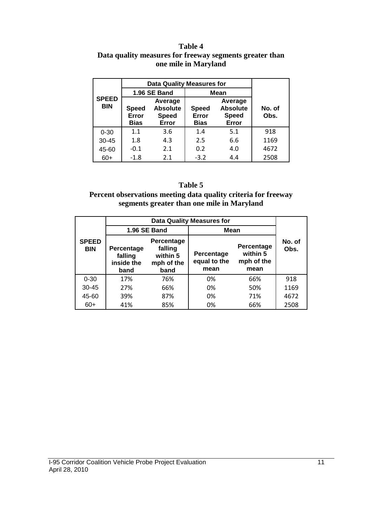#### **Table 4 Data quality measures for freeway segments greater than one mile in Maryland**

|                            |                                                                                             | <b>Data Quality Measures for</b> |                               |                                                     |                |  |  |  |
|----------------------------|---------------------------------------------------------------------------------------------|----------------------------------|-------------------------------|-----------------------------------------------------|----------------|--|--|--|
|                            |                                                                                             | 1.96 SE Band                     |                               | <b>Mean</b>                                         |                |  |  |  |
| <b>SPEED</b><br><b>BIN</b> | Average<br><b>Absolute</b><br><b>Speed</b><br>Error<br><b>Speed</b><br><b>Bias</b><br>Error |                                  | <b>Speed</b><br>Error<br>Bias | Average<br><b>Absolute</b><br><b>Speed</b><br>Error | No. of<br>Obs. |  |  |  |
| $0 - 30$                   | 1.1                                                                                         | 3.6                              | 1.4                           | 5.1                                                 | 918            |  |  |  |
| $30 - 45$                  | 1.8                                                                                         | 4.3                              | 2.5                           | 6.6                                                 | 1169           |  |  |  |
| 45-60                      | $-0.1$                                                                                      | 2.1                              | 0.2                           | 4.0                                                 | 4672           |  |  |  |
| $60+$                      | $-1.8$                                                                                      | 2.1                              | $-3.2$                        | 4.4                                                 | 2508           |  |  |  |

#### **Table 5**

#### **Percent observations meeting data quality criteria for freeway segments greater than one mile in Maryland**

|                            |                                             |                                                         | <b>Data Quality Measures for</b>   |                                              |                |
|----------------------------|---------------------------------------------|---------------------------------------------------------|------------------------------------|----------------------------------------------|----------------|
|                            |                                             | 1.96 SE Band                                            | Mean                               |                                              |                |
| <b>SPEED</b><br><b>BIN</b> | Percentage<br>falling<br>inside the<br>band | Percentage<br>falling<br>within 5<br>mph of the<br>band | Percentage<br>equal to the<br>mean | Percentage<br>within 5<br>mph of the<br>mean | No. of<br>Obs. |
| $0 - 30$                   | 17%                                         | 76%                                                     | 0%                                 | 66%                                          | 918            |
| $30 - 45$                  | 27%                                         | 66%                                                     | 0%                                 | 50%                                          | 1169           |
| 45-60                      | 39%                                         | 87%                                                     | 0%                                 | 71%                                          | 4672           |
| $60+$                      | 41%                                         | 85%                                                     | 0%                                 | 66%                                          | 2508           |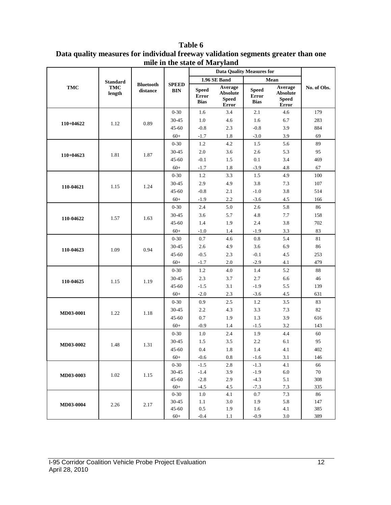|             |                   |                              |                            |                                      | <b>Data Quality Measures for</b>                    |                                             |                                                     |             |
|-------------|-------------------|------------------------------|----------------------------|--------------------------------------|-----------------------------------------------------|---------------------------------------------|-----------------------------------------------------|-------------|
|             | <b>Standard</b>   |                              |                            |                                      | 1.96 SE Band                                        |                                             | Mean                                                |             |
| <b>TMC</b>  | TMC<br>length     | <b>Bluetooth</b><br>distance | <b>SPEED</b><br><b>BIN</b> | <b>Speed</b><br>Error<br><b>Bias</b> | Average<br><b>Absolute</b><br><b>Speed</b><br>Error | <b>Speed</b><br><b>Error</b><br><b>Bias</b> | Average<br><b>Absolute</b><br><b>Speed</b><br>Error | No. of Obs. |
|             |                   |                              | $0 - 30$                   | 1.6                                  | 3.4                                                 | 2.1                                         | 4.6                                                 | 179         |
| $110+04622$ | 1.12              | 0.89                         | 30-45                      | $1.0\,$                              | 4.6                                                 | 1.6                                         | 6.7                                                 | 283         |
|             |                   |                              | $45 - 60$                  | $-0.8$                               | 2.3                                                 | $-0.8$                                      | 3.9                                                 | 884         |
|             |                   |                              | $60+$                      | $-1.7$                               | 1.8                                                 | $-3.0$                                      | 3.9                                                 | 69          |
|             |                   |                              | $0 - 30$                   | 1.2                                  | 4.2                                                 | 1.5                                         | 5.6                                                 | 89          |
| $110+04623$ |                   | 1.87                         | 30-45                      | 2.0                                  | 3.6                                                 | 2.6                                         | 5.3                                                 | 95          |
|             | 1.81              |                              | $45 - 60$                  | $-0.1$                               | 1.5                                                 | 0.1                                         | 3.4                                                 | 469         |
|             |                   |                              | $60+$                      | $-1.7$                               | 1.8                                                 | $-3.9$                                      | 4.8                                                 | 67          |
|             |                   |                              | $0 - 30$                   | $1.2\,$                              | 3.3                                                 | 1.5                                         | 4.9                                                 | 100         |
| 110-04621   |                   | 1.24                         | 30-45                      | 2.9                                  | 4.9                                                 | 3.8                                         | 7.3                                                 | 107         |
|             | 1.15              |                              | $45 - 60$                  | $-0.8$                               | 2.1                                                 | $-1.0$                                      | 3.8                                                 | 514         |
|             |                   |                              | $60+$                      | $-1.9$                               | 2.2                                                 | $-3.6$                                      | 4.5                                                 | 166         |
|             |                   |                              | $0 - 30$                   | 2.4                                  | 5.0                                                 | 2.6                                         | 5.8                                                 | 86          |
|             |                   | 1.63                         | 30-45                      | 3.6                                  | 5.7                                                 | 4.8                                         | 7.7                                                 | 158         |
|             | 110-04622<br>1.57 |                              | $45 - 60$                  | 1.4                                  | 1.9                                                 | 2.4                                         | 3.8                                                 | 702         |
|             |                   |                              | $60+$                      | $-1.0$                               | 1.4                                                 | $-1.9$                                      | 3.3                                                 | 83          |
|             |                   |                              | $0 - 30$                   | $0.7\,$                              | 4.6                                                 | $\rm 0.8$                                   | 5.4                                                 | 81          |
| 110-04623   | 1.09              | 0.94                         | 30-45                      | 2.6                                  | 4.9                                                 | 3.6                                         | 6.9                                                 | 86          |
|             |                   |                              | $45 - 60$                  | $-0.5$                               | 2.3                                                 | $-0.1$                                      | 4.5                                                 | 253         |
|             |                   |                              | $60+$                      | $-1.7$                               | 2.0                                                 | $-2.9$                                      | 4.1                                                 | 479         |
|             |                   |                              | $0 - 30$                   | 1.2                                  | $4.0\,$                                             | 1.4                                         | 5.2                                                 | 88          |
| 110-04625   | 1.15              | 1.19                         | 30-45                      | 2.3                                  | 3.7                                                 | 2.7                                         | 6.6                                                 | 46          |
|             |                   |                              | $45 - 60$                  | $-1.5$                               | 3.1                                                 | $-1.9$                                      | 5.5                                                 | 139         |
|             |                   |                              | $60+$                      | $-2.0$                               | 2.3                                                 | $-3.6$                                      | 4.5                                                 | 631         |
|             |                   |                              | $0 - 30$                   | 0.9                                  | 2.5                                                 | 1.2                                         | 3.5                                                 | 83          |
| MD03-0001   | 1.22              | 1.18                         | 30-45                      | 2.2                                  | 4.3                                                 | 3.3                                         | 7.3                                                 | 82          |
|             |                   |                              | $45 - 60$                  | 0.7                                  | 1.9                                                 | 1.3                                         | 3.9                                                 | 616         |
|             |                   |                              | $60+$                      | $-0.9$                               | 1.4                                                 | $-1.5$                                      | 3.2                                                 | 143         |
|             |                   |                              | $0 - 30$                   | 1.0                                  | 2.4                                                 | 1.9                                         | 4.4                                                 | 60          |
| MD03-0002   | 1.48              | 1.31                         | 30-45                      | 1.5                                  | 3.5                                                 | 2.2                                         | 6.1                                                 | 95          |
|             |                   |                              | $45 - 60$                  | 0.4                                  | 1.8                                                 | 1.4                                         | 4.1                                                 | 402         |
|             |                   |                              | $60+$                      | $-0.6$                               | 0.8                                                 | $-1.6$                                      | 3.1                                                 | 146         |
|             |                   |                              | $0 - 30$                   | $-1.5$                               | 2.8                                                 | $-1.3$                                      | 4.1                                                 | 66          |
|             | 1.02              | 1.15                         | 30-45                      | $-1.4$                               | 3.9                                                 | $-1.9$                                      | 6.0                                                 | 70          |
| MD03-0003   |                   |                              | $45 - 60$                  | $-2.8$                               | 2.9                                                 | $-4.3$                                      | 5.1                                                 | 308         |
|             |                   |                              | $60+$                      | $-4.5$                               | 4.5                                                 | $-7.3$                                      | 7.3                                                 | 335         |
|             |                   |                              | $0 - 30$                   | 1.0                                  | 4.1                                                 | 0.7                                         | 7.3                                                 | 86          |
| MD03-0004   | 2.26              | 2.17                         | 30-45                      | 1.1                                  | 3.0                                                 | 1.9                                         | 5.8                                                 | 147         |
|             |                   |                              | $45 - 60$                  | $0.5\,$                              | 1.9                                                 | 1.6                                         | 4.1                                                 | 385         |
|             |                   |                              | $60+$                      | $-0.4$                               | 1.1                                                 | $-0.9$                                      | $3.0\,$                                             | 389         |

**Table 6 Data quality measures for individual freeway validation segments greater than one mile in the state of Maryland**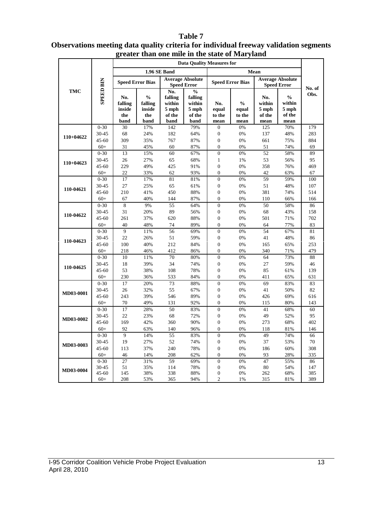#### **Data Quality Measures for 1.96 SE Band Mean Speed Error Bias Average Absolute Speed Error Speed Error Speed Error Bias Average Absolute SPEED BIN SPEED BIN Speed Error No. of TMC No.**   $\frac{6}{6}$ **Obs. falling falling**   $\frac{6}{6}$ **No. % No. falling falling % within within within within No. inside inside 5 mph 5 mph equal equal 5 mph 5 mph the the of the of the to the to the of the of the band band band band mean mean mean mean** 0-30 30 17% 142 79% 0 0% 125 70% 179 30-45 68 24% 182 64% 0 0% 137 48% 283 **110+04622**  45-60 309 35% 767 87% 0 0% 661 75% 884 60+ 31 45% 60 87% 0 0% 51 74% 69 0-30 13 15% 60 67% 0 0% 52 58% 89 30-45 26 27% 65 68% 1 1% 53 56% 95 **110+04623**  45-60 229 49% 425 91% 0 0% 358 76% 469 60+ 22 33% 62 93% 0 0% 42 63% 67 0-30 17 17% 81 81% 0 0% 59 59% 100 30-45 27 25% 65 61% 0 0% 51 48% 107 **110-04621**  45-60 210 41% 450 88% 0 0% 381 74% 514 60+ 67 40% 144 87% 0 0% 110 66% 166 0-30 8 9% 55 64% 0 0% 50 58% 86 30-45 31 20% 89 56% 0 0% 68 43% 158 **110-04622**  45-60 261 37% 620 88% 0 0% 501 71% 702 60+ 40 48% 74 89% 0 0% 64 77% 83 0-30 9 11% 56 69% 0 0% 54 67% 81 30-45 22 26% 51 59% 0 0% 41 48% 86 **110-04623**  45-60 100 40% 212 84% 0 0% 165 65% 253 60+ 218 46% 412 86% 0 0% 340 71% 479 0-30 10 11% 70 80% 0 0% 64 73% 88 30-45 18 39% 34 74% 0 0% 27 59% 46 **110-04625**  45-60 53 38% 108 78% 0 0% 85 61% 139 60+ 230 36% 533 84% 0 0% 411 65% 631 0-30 17 20% 73 88% 0 0% 69 83% 83 30-45 26 32% 55 67% 0 0% 41 50% 82 **MD03-0001**  45-60 243 39% 546 89% 0 0% 426 69% 616 60+ 70 49% 131 92% 0 0% 115 80% 143 0-30 17 28% 50 83% 0 0% 41 68% 60 30-45 22 23% 68 72% 0 0% 49 52% 95 **MD03-0002**  45-60 169 42% 360 90% 0 0% 273 68% 402 60+ 92 63% 140 96% 0 0% 118 81% 146 0-30 9 14% 55 83% 0 0% 49 74% 66 30-45 19 27% 52 74% 0 0% 37 53% 70 **MD03-0003**  45-60 113 37% 240 78% 0 0% 186 60% 308 60+ 46 14% 208 62% 0 0% 93 28% 335 0-30 27 31% 59 69% 0 0% 47 55% 86

30-45 51 35% 114 78% 0 0% 80 54% 147 45-60 145 38% 338 88% 0 0% 262 68% 385 60+ 208 53% 365 94% 2 1% 315 81% 389

#### **Table 7 Observations meeting data quality criteria for individual freeway validation segments greater than one mile in the state of Maryland**

**MD03-0004**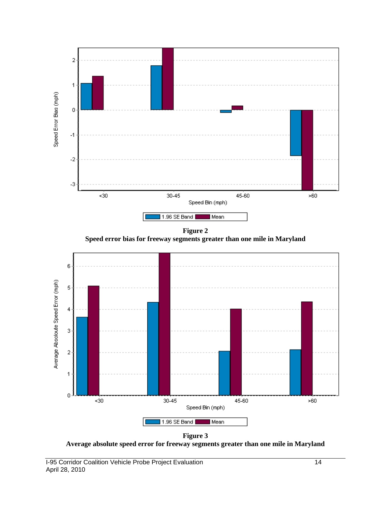



**Figure 3 Average absolute speed error for freeway segments greater than one mile in Maryland**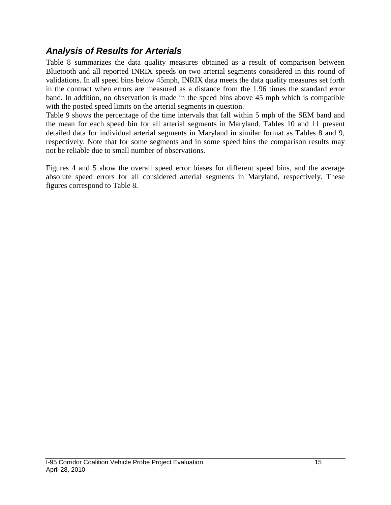### *Analysis of Results for Arterials*

Table 8 summarizes the data quality measures obtained as a result of comparison between Bluetooth and all reported INRIX speeds on two arterial segments considered in this round of validations. In all speed bins below 45mph, INRIX data meets the data quality measures set forth in the contract when errors are measured as a distance from the 1.96 times the standard error band. In addition, no observation is made in the speed bins above 45 mph which is compatible with the posted speed limits on the arterial segments in question.

Table 9 shows the percentage of the time intervals that fall within 5 mph of the SEM band and the mean for each speed bin for all arterial segments in Maryland. Tables 10 and 11 present detailed data for individual arterial segments in Maryland in similar format as Tables 8 and 9, respectively. Note that for some segments and in some speed bins the comparison results may not be reliable due to small number of observations.

Figures 4 and 5 show the overall speed error biases for different speed bins, and the average absolute speed errors for all considered arterial segments in Maryland, respectively. These figures correspond to Table 8.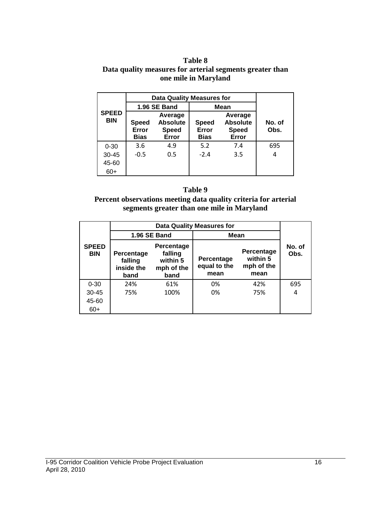#### **Table 8 Data quality measures for arterial segments greater than one mile in Maryland**

|                            |                                                                                             | <b>Data Quality Measures for</b> |                                      |                                                     |                |
|----------------------------|---------------------------------------------------------------------------------------------|----------------------------------|--------------------------------------|-----------------------------------------------------|----------------|
|                            |                                                                                             | 1.96 SE Band                     | Mean                                 |                                                     |                |
| <b>SPEED</b><br><b>BIN</b> | Average<br><b>Absolute</b><br><b>Speed</b><br>Error<br><b>Speed</b><br>Error<br><b>Bias</b> |                                  | <b>Speed</b><br>Error<br><b>Bias</b> | Average<br><b>Absolute</b><br><b>Speed</b><br>Error | No. of<br>Obs. |
| $0 - 30$                   | 3.6                                                                                         | 4.9                              | 5.2                                  | 7.4                                                 | 695            |
| $30 - 45$                  | $-0.5$                                                                                      | 0.5                              | $-2.4$                               | 3.5                                                 | 4              |
| 45-60                      |                                                                                             |                                  |                                      |                                                     |                |
| $60+$                      |                                                                                             |                                  |                                      |                                                     |                |

#### **Table 9**

#### **Percent observations meeting data quality criteria for arterial segments greater than one mile in Maryland**

|                            |                                                                                                               |                     | <b>Data Quality Measures for</b>   |                                              |                |
|----------------------------|---------------------------------------------------------------------------------------------------------------|---------------------|------------------------------------|----------------------------------------------|----------------|
|                            |                                                                                                               | <b>1.96 SE Band</b> | Mean                               |                                              |                |
| <b>SPEED</b><br><b>BIN</b> | <b>Percentage</b><br>falling<br>Percentage<br>falling<br>within 5<br>inside the<br>mph of the<br>band<br>band |                     | Percentage<br>equal to the<br>mean | Percentage<br>within 5<br>mph of the<br>mean | No. of<br>Obs. |
| $0 - 30$                   | 24%                                                                                                           | 61%                 | 0%                                 | 42%                                          | 695            |
| $30 - 45$                  | 75%                                                                                                           | 100%                | 0%                                 | 75%                                          | 4              |
| 45-60                      |                                                                                                               |                     |                                    |                                              |                |
| $60+$                      |                                                                                                               |                     |                                    |                                              |                |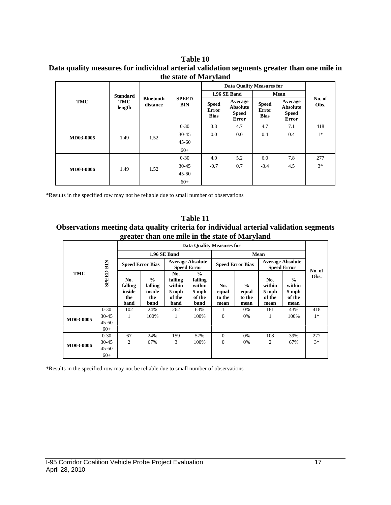#### **Table 10 Data quality measures for individual arterial validation segments greater than one mile in the state of Maryland**

| TMC       | <b>Standard</b><br>TMC<br>length | <b>Bluetooth</b><br>distance | <b>SPEED</b><br><b>BIN</b> | <b>Data Quality Measures for</b>     |                                              |                                             |                                                     |                |
|-----------|----------------------------------|------------------------------|----------------------------|--------------------------------------|----------------------------------------------|---------------------------------------------|-----------------------------------------------------|----------------|
|           |                                  |                              |                            | 1.96 SE Band                         |                                              | Mean                                        |                                                     |                |
|           |                                  |                              |                            | <b>Speed</b><br>Error<br><b>Bias</b> | Average<br>Absolute<br><b>Speed</b><br>Error | <b>Speed</b><br><b>Error</b><br><b>Bias</b> | Average<br><b>Absolute</b><br><b>Speed</b><br>Error | No. of<br>Obs. |
| MD03-0005 | 1.49                             | 1.52                         | $0 - 30$                   | 3.3                                  | 4.7                                          | 4.7                                         | 7.1                                                 | 418            |
|           |                                  |                              | $30 - 45$                  | 0.0                                  | 0.0                                          | 0.4                                         | 0.4                                                 | $1*$           |
|           |                                  |                              | $45 - 60$                  |                                      |                                              |                                             |                                                     |                |
|           |                                  |                              | $60+$                      |                                      |                                              |                                             |                                                     |                |
| MD03-0006 | 1.49                             | 1.52                         | $0 - 30$                   | 4.0                                  | 5.2                                          | 6.0                                         | 7.8                                                 | 277            |
|           |                                  |                              | $30 - 45$                  | $-0.7$                               | 0.7                                          | $-3.4$                                      | 4.5                                                 | $3*$           |
|           |                                  |                              | $45 - 60$                  |                                      |                                              |                                             |                                                     |                |
|           |                                  |                              | $60+$                      |                                      |                                              |                                             |                                                     |                |

\*Results in the specified row may not be reliable due to small number of observations

**Table 11 Observations meeting data quality criteria for individual arterial validation segments greater than one mile in the state of Maryland**

| <b>TMC</b> | <b>SPEED BIN</b>   | <b>Data Quality Measures for</b>        |                                                   |                                                     |                                                               |                                |                                          |                                               |                                                    |        |
|------------|--------------------|-----------------------------------------|---------------------------------------------------|-----------------------------------------------------|---------------------------------------------------------------|--------------------------------|------------------------------------------|-----------------------------------------------|----------------------------------------------------|--------|
|            |                    | 1.96 SE Band                            |                                                   |                                                     |                                                               | Mean                           |                                          |                                               |                                                    |        |
|            |                    | <b>Speed Error Bias</b>                 |                                                   | <b>Average Absolute</b><br><b>Speed Error</b>       |                                                               | <b>Speed Error Bias</b>        |                                          | <b>Average Absolute</b><br><b>Speed Error</b> |                                                    | No. of |
|            |                    | No.<br>falling<br>inside<br>the<br>band | $\frac{0}{0}$<br>falling<br>inside<br>the<br>band | No.<br>falling<br>within<br>5 mph<br>of the<br>band | $\frac{0}{0}$<br>falling<br>within<br>5 mph<br>of the<br>band | No.<br>equal<br>to the<br>mean | $\frac{0}{0}$<br>equal<br>to the<br>mean | No.<br>within<br>5 mph<br>of the<br>mean      | $\frac{6}{6}$<br>within<br>5 mph<br>of the<br>mean | Obs.   |
| MD03-0005  | $0 - 30$           | 102                                     | 24%                                               | 262                                                 | 63%                                                           | 1                              | 0%                                       | 181                                           | 43%                                                | 418    |
|            | $30 - 45$          | 1                                       | 100%                                              | 1                                                   | 100%                                                          | $\theta$                       | 0%                                       | 1                                             | 100%                                               | $1*$   |
|            | $45 - 60$<br>$60+$ |                                         |                                                   |                                                     |                                                               |                                |                                          |                                               |                                                    |        |
| MD03-0006  | $0 - 30$           | 67                                      | 24%                                               | 159                                                 | 57%                                                           | $\Omega$                       | 0%                                       | 108                                           | 39%                                                | 277    |
|            | 30-45              | $\overline{c}$                          | 67%                                               | 3                                                   | 100%                                                          | $\theta$                       | 0%                                       | 2                                             | 67%                                                | $3*$   |
|            | $45 - 60$          |                                         |                                                   |                                                     |                                                               |                                |                                          |                                               |                                                    |        |
|            | $60+$              |                                         |                                                   |                                                     |                                                               |                                |                                          |                                               |                                                    |        |

\*Results in the specified row may not be reliable due to small number of observations